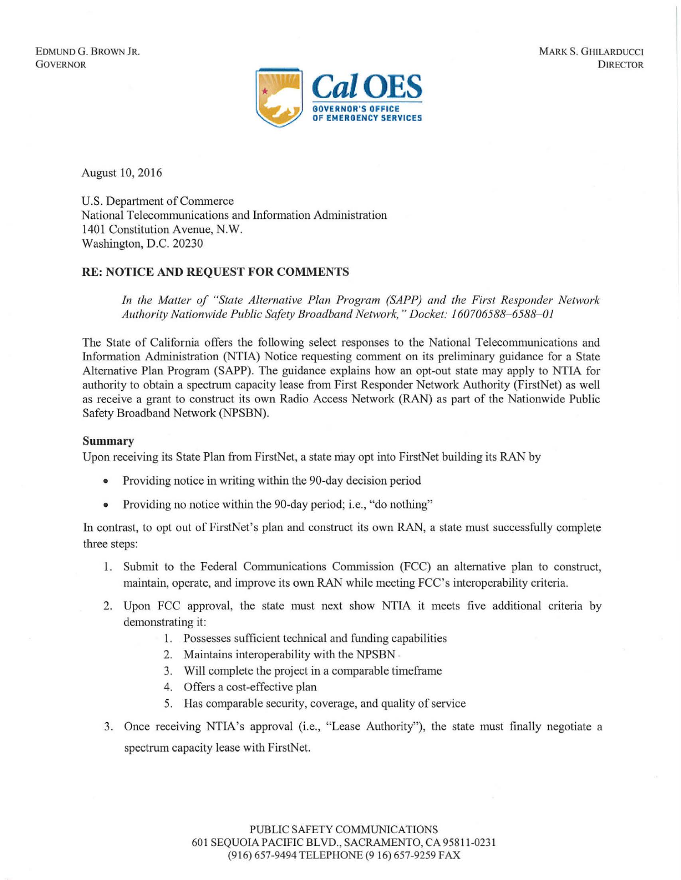

August 10, 2016

U.S. Department of Commerce National Telecommunications and Information Administration 1401 Constitution Avenue, N.W. Washington, D.C. 20230

## **RE: NOTICE AND REQUEST FOR COMMENTS**

*In the Matter of "State Alternative Plan Program (SAPP) and the First Responder Network Authority Nationwide Public Safety Broadband Network," Docket: 160706588- 6588- 01* 

The State of California offers the following select responses to the National Telecommunications and Information Administration (NTIA) Notice requesting comment on its preliminary guidance for a State Alternative Plan Program (SAPP). The guidance explains how an opt-out state may apply to NTIA for authority to obtain a spectrum capacity lease from First Responder Network Authority (FirstNet) as well as receive a grant to construct its own Radio Access Network (RAN) as part of the Nationwide Public Safety Broadband Network (NPSBN).

## **Summary**

Upon receiving its State Plan from FirstNet, a state may opt into FirstNet building its RAN by

- Providing notice in writing within the 90-day decision period
- Providing no notice within the 90-day period; i.e., "do nothing"

In contrast, to opt out of FirstNet's plan and construct its own RAN, a state must successfully complete three steps:

- 1. Submit to the Federal Communications Commission (FCC) an alternative plan to construct, maintain, operate, and improve its own RAN while meeting FCC's interoperability criteria.
- 2. Upon FCC approval, the state must next show NTIA it meets five additional criteria by demonstrating it:
	- 1. Possesses sufficient technical and funding capabilities
	- 2. Maintains interoperability with the NPSBN .
	- 3. Will complete the project in a comparable timeframe
	- 4. Offers a cost-effective plan
	- 5. Has comparable security, coverage, and quality of service
- 3. Once receiving NTIA's approval (i.e., "Lease Authority"), the state must finally negotiate a spectrum capacity lease with FirstNet.

PUBLIC SAFETY COMMUNICATIONS 601 SEQUOIA PACIFIC BLVD., SACRAMENTO, CA 95811 -023 1 (9 16) 657-9494 TELEPHONE (9 16) 657-9259 FAX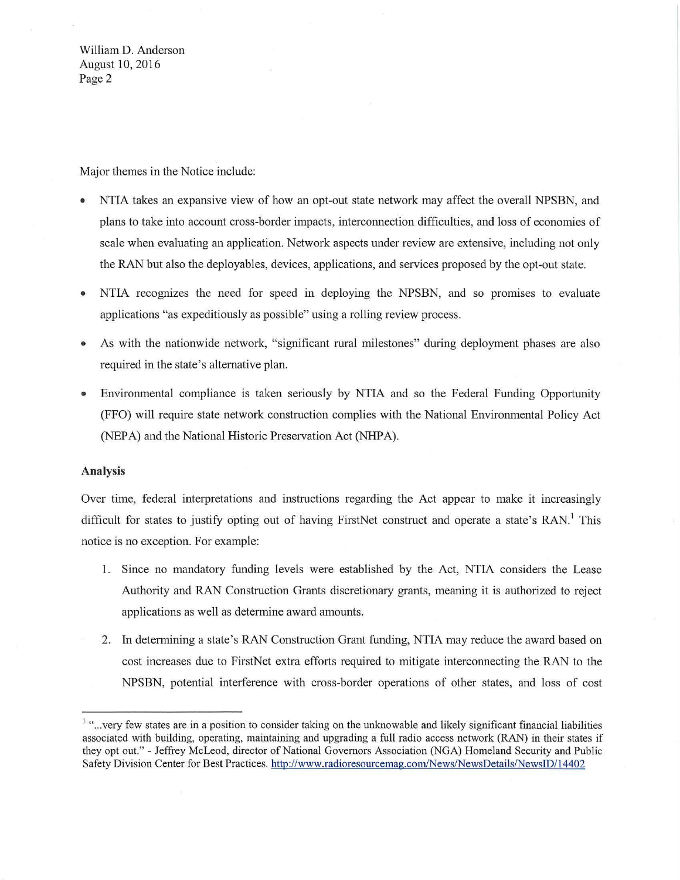William D. Anderson August 10, 2016 Page 2

Major themes in the Notice include:

- NTIA takes an expansive view of how an opt-out state network may affect the overall NPSBN, and plans to take into account cross-border impacts, interconnection difficulties, and loss of economies of scale when evaluating an application. Network aspects under review are extensive, including not only the RAN but also the deployables, devices, applications, and services proposed by the opt-out state.
- NTIA recognizes the need for speed in deploying the NPSBN, and so promises to evaluate applications "as expeditiously as possible" using a rolling review process.
- As with the nationwide network, "significant rural milestones" during deployment phases are also required in the state's alternative plan.
- Environmental compliance is taken seriously by NTIA and so the Federal Funding Opportunity (FFO) will require state network construction complies with the National Environmental Policy Act (NEPA) and the National Historic Preservation Act (NHPA).

## **Analysis**

Over time, federal interpretations and instructions regarding the Act appear to make it increasingly difficult for states to justify opting out of having FirstNet construct and operate a state's RAN.' This notice is no exception. For example:

- 1. Since no mandatory funding levels were established by the Act, NTIA considers the Lease Authority and RAN Construction Grants discretionary grants, meaning it is authorized to reject applications as well as determine award amounts.
- 2. In determining a state's RAN Construction Grant funding, NTIA may reduce the award based on cost increases due to FirstNet extra efforts required to mitigate interconnecting the RAN to the NPSBN, potential interference with cross-border operations of other states, and loss of cost

<sup>&</sup>lt;sup>1</sup> "...very few states are in a position to consider taking on the unknowable and likely significant financial liabilities associated with building, operating, maintaining and upgrading a full radio access network (RAN) in their states if they opt out."- Jeffrey McLeod, director of National Governors Association (NGA) Homeland Security and Public Safety Division Center for Best Practices. http://www.radioresourcemag.com/News/NewsDetails/NewsiD/ 14402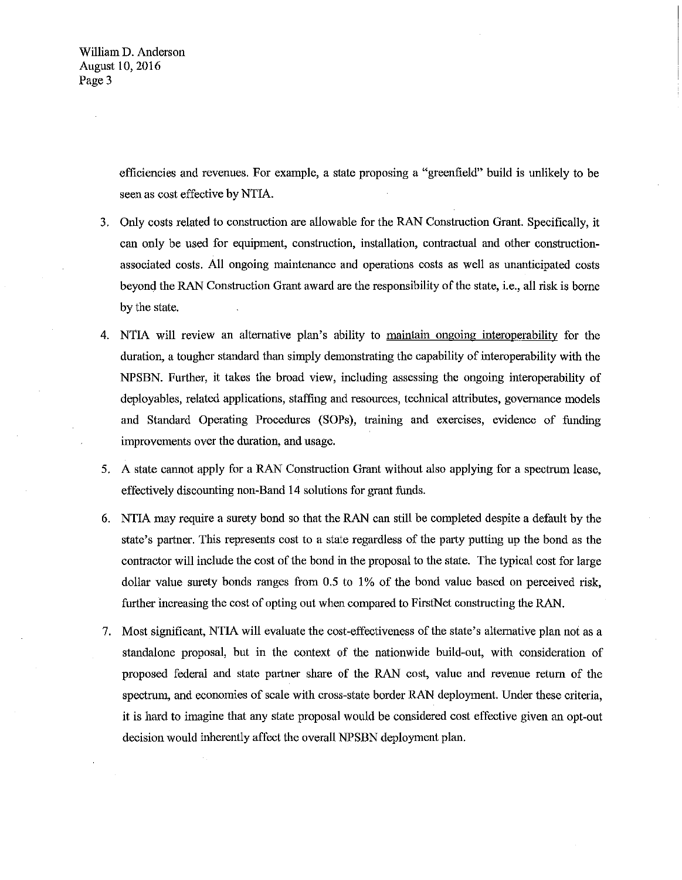William D. Anderson August 10,2016 Page 3

> efficiencies and revenues. For example, a state proposing a "greenfield" build is unlikely to be seen as cost effective by NTIA.

- 3. Only costs related to construction are allowable for the RAN Construction Grant. Specifically, it can only be used for equipment, construction, installation, contractual and other constructionassociated costs. All ongoing maintenance and operations costs as well as unanticipated costs beyond the RAN Construction Grant award are the responsibility of the state, i.e., all risk is borne by the state.
- 4. NTIA will review an alternative plan's ability to maintain ongoing interoperability for the duration, a tougher standard than simply demonstrating the capability of interoperability with the NPSBN. Further, it takes the broad view, including assessing the ongoing interoperability of deployables, related applications, staffing and resources, technical attributes, governance models and Standard Operating Procedures (SOPs), training and exercises, evidence of funding improvements over the duration, and usage.
- 5. A state cannot apply for a RAN Construction Grant without also applying for a spectrum lease, effectively discounting non-Band 14 solutions for grant funds.
- 6. NTIA may require a surety bond so that the RAN can still be completed despite a default by the state's partner. This represents cost to a state regardless of the party putting up the bond as the contractor will include the cost of the bond in the proposal to the state. The typical cost for large dollar value surety bonds ranges from 0.5 to 1% of the bond value based on perceived risk, further increasing the cost of opting out when compared to FirstNet constructing the RAN.
- 7. Most significant, NTIA will evaluate the cost-effectiveness of the state's alternative plan not as a standalone proposal, but in the context of the nationwide build-out, with consideration of proposed federal and state partner share of the RAN cost, value and revenue return of the spectrum, and economies of scale with cross-state border RAN deployment. Under these criteria, it is hard to imagine that any state proposal would be considered cost effective given an opt-out decision wonld inherently affect the overall NPSBN deployment plan.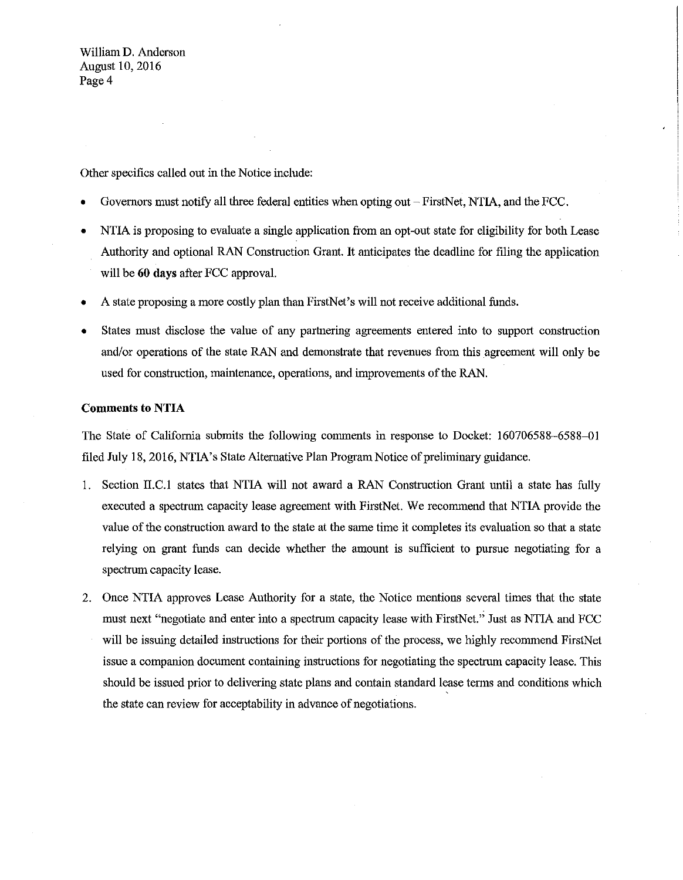William **D.** Anderson August 10,2016 Page 4

Other specifics called out in the Notice include:

- Governors must notify all three federal entities when opting out- FirstNet, NTIA, and the FCC.
- NTIA is proposing to evaluate a single application from an opt-out state for eligibility for both Lease Authority and optional RAN Construction Grant. It anticipates the deadline for filing the application will be **60 days** after FCC approval.
- A state proposing a more costly plan than FirstNet's will not receive additional funds.
- States must disclose the value of any partnering agreements entered into to support construction and/or operations of the state RAN and demonstrate that revenues from this agreement will only be used for construction, maintenance, operations, and improvements of the RAN.

## **Comments to NTIA**

The State of California submits the following comments in response to Docket: 160706588-6588-01 filed July 18, 2016, NTIA's State Alternative Plan Program Notice of preliminary guidance.

- 1. Section II.C.l states that NTIA will not award a RAN Construction Grant until a state has fully executed a spectrum capacity lease agreement with FirstNet. We recommend that NTIA provide the value of the construction award to the state at the same time it completes its evaluation so that a state relying on grant funds can decide whether the amount is sufficient to pursue negotiating for a spectrum capacity lease.
- 2. Once NTIA approves Lease Authority for a state, the Notice mentions several times that the state must next "negotiate and enter into a spectrum capacity lease with FirstNet." Just as NTIA and FCC will be issuing detailed instructions for their portions of the process, we highly recommend FirstNet issue a companion document containing instructions for negotiating the spectrum capacity lease. This should be issued prior to delivering state plans and contain standard lease terms and conditions which the state can review for acceptability in advance of negotiations.